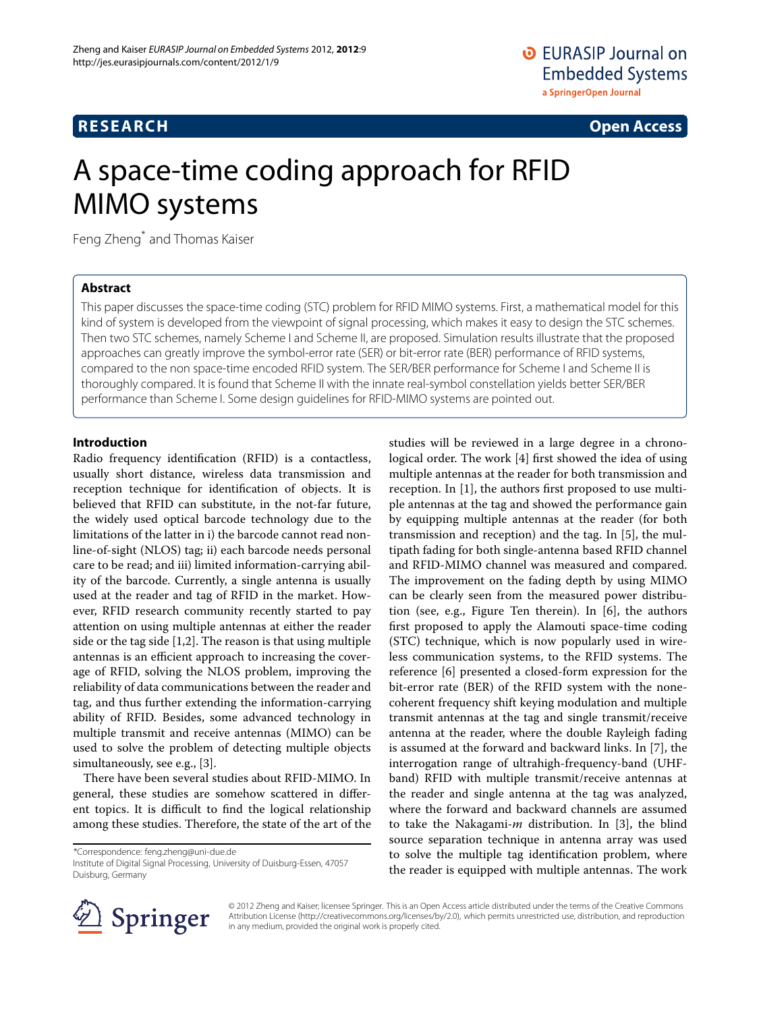# **RESEARCH Open Access**

# A space-time coding approach for RFID MIMO systems

Feng Zheng\* and Thomas Kaiser

# **Abstract**

This paper discusses the space-time coding (STC) problem for RFID MIMO systems. First, a mathematical model for this kind of system is developed from the viewpoint of signal processing, which makes it easy to design the STC schemes. Then two STC schemes, namely Scheme I and Scheme II, are proposed. Simulation results illustrate that the proposed approaches can greatly improve the symbol-error rate (SER) or bit-error rate (BER) performance of RFID systems, compared to the non space-time encoded RFID system. The SER/BER performance for Scheme I and Scheme II is thoroughly compared. It is found that Scheme II with the innate real-symbol constellation yields better SER/BER performance than Scheme I. Some design guidelines for RFID-MIMO systems are pointed out.

## **Introduction**

Radio frequency identification (RFID) is a contactless, usually short distance, wireless data transmission and reception technique for identification of objects. It is believed that RFID can substitute, in the not-far future, the widely used optical barcode technology due to the limitations of the latter in i) the barcode cannot read nonline-of-sight (NLOS) tag; ii) each barcode needs personal care to be read; and iii) limited information-carrying ability of the barcode. Currently, a single antenna is usually used at the reader and tag of RFID in the market. However, RFID research community recently started to pay attention on using multiple antennas at either the reader side or the tag side [\[1](#page-9-0)[,2\]](#page-9-1). The reason is that using multiple antennas is an efficient approach to increasing the coverage of RFID, solving the NLOS problem, improving the reliability of data communications between the reader and tag, and thus further extending the information-carrying ability of RFID. Besides, some advanced technology in multiple transmit and receive antennas (MIMO) can be used to solve the problem of detecting multiple objects simultaneously, see e.g., [\[3\]](#page-9-2).

There have been several studies about RFID-MIMO. In general, these studies are somehow scattered in different topics. It is difficult to find the logical relationship among these studies. Therefore, the state of the art of the

\*Correspondence: feng.zheng@uni-due.de

Institute of Digital Signal Processing, University of Duisburg-Essen, 47057 Duisburg, Germany

studies will be reviewed in a large degree in a chronological order. The work [\[4\]](#page-9-3) first showed the idea of using multiple antennas at the reader for both transmission and reception. In [\[1\]](#page-9-0), the authors first proposed to use multiple antennas at the tag and showed the performance gain by equipping multiple antennas at the reader (for both transmission and reception) and the tag. In [\[5\]](#page-9-4), the multipath fading for both single-antenna based RFID channel and RFID-MIMO channel was measured and compared. The improvement on the fading depth by using MIMO can be clearly seen from the measured power distribution (see, e.g., Figure Ten therein). In [\[6\]](#page-9-5), the authors first proposed to apply the Alamouti space-time coding (STC) technique, which is now popularly used in wireless communication systems, to the RFID systems. The reference [\[6\]](#page-9-5) presented a closed-form expression for the bit-error rate (BER) of the RFID system with the nonecoherent frequency shift keying modulation and multiple transmit antennas at the tag and single transmit/receive antenna at the reader, where the double Rayleigh fading is assumed at the forward and backward links. In [\[7\]](#page-9-6), the interrogation range of ultrahigh-frequency-band (UHFband) RFID with multiple transmit/receive antennas at the reader and single antenna at the tag was analyzed, where the forward and backward channels are assumed to take the Nakagami-*m* distribution. In [\[3\]](#page-9-2), the blind source separation technique in antenna array was used to solve the multiple tag identification problem, where the reader is equipped with multiple antennas. The work



© 2012 Zheng and Kaiser; licensee Springer. This is an Open Access article distributed under the terms of the Creative Commons Attribution License (http://creativecommons.org/licenses/by/2.0), which permits unrestricted use, distribution, and reproduction in any medium, provided the original work is properly cited.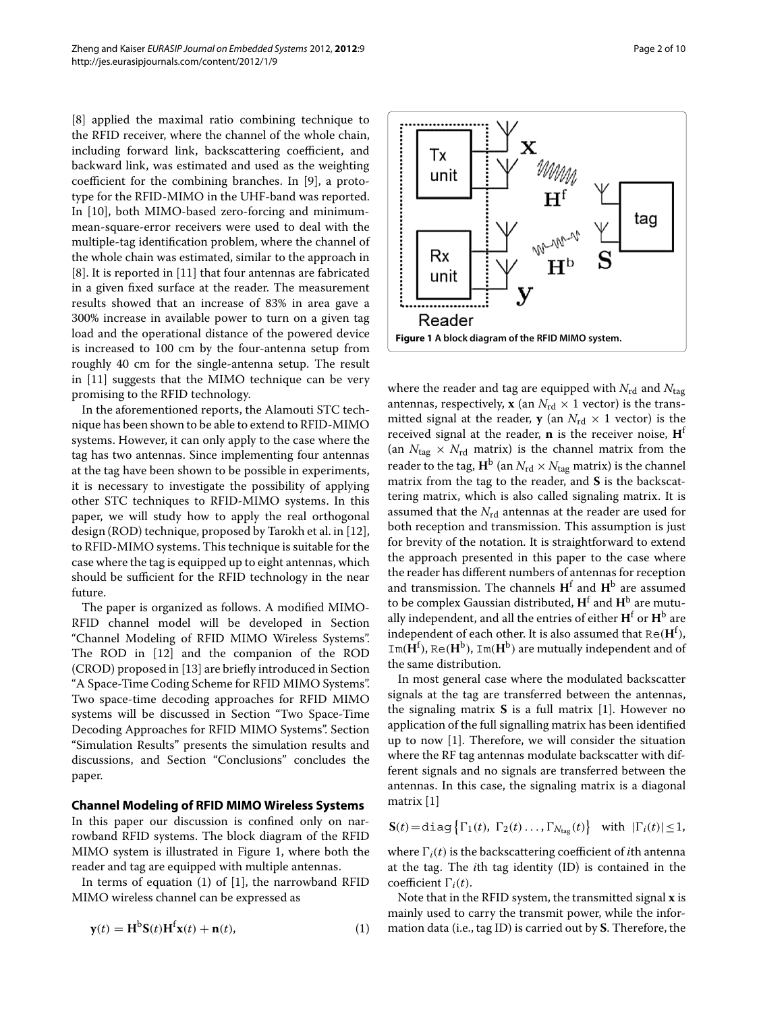[\[8\]](#page-9-7) applied the maximal ratio combining technique to the RFID receiver, where the channel of the whole chain, including forward link, backscattering coefficient, and backward link, was estimated and used as the weighting coefficient for the combining branches. In [\[9\]](#page-9-8), a prototype for the RFID-MIMO in the UHF-band was reported. In [\[10\]](#page-9-9), both MIMO-based zero-forcing and minimummean-square-error receivers were used to deal with the multiple-tag identification problem, where the channel of the whole chain was estimated, similar to the approach in [\[8\]](#page-9-7). It is reported in [\[11\]](#page-9-10) that four antennas are fabricated in a given fixed surface at the reader. The measurement results showed that an increase of 83% in area gave a 300% increase in available power to turn on a given tag load and the operational distance of the powered device is increased to 100 cm by the four-antenna setup from roughly 40 cm for the single-antenna setup. The result in [\[11\]](#page-9-10) suggests that the MIMO technique can be very promising to the RFID technology.

In the aforementioned reports, the Alamouti STC technique has been shown to be able to extend to RFID-MIMO systems. However, it can only apply to the case where the tag has two antennas. Since implementing four antennas at the tag have been shown to be possible in experiments, it is necessary to investigate the possibility of applying other STC techniques to RFID-MIMO systems. In this paper, we will study how to apply the real orthogonal design (ROD) technique, proposed by Tarokh et al. in [\[12\]](#page-9-11), to RFID-MIMO systems. This technique is suitable for the case where the tag is equipped up to eight antennas, which should be sufficient for the RFID technology in the near future.

The paper is organized as follows. A modified MIMO-RFID channel model will be developed in Section ["Channel Modeling of RFID MIMO Wireless Systems"](#page-1-0). The ROD in [\[12\]](#page-9-11) and the companion of the ROD (CROD) proposed in [\[13\]](#page-9-12) are briefly introduced in Section ["A Space-Time Coding Scheme for RFID MIMO Systems"](#page-2-0). Two space-time decoding approaches for RFID MIMO systems will be discussed in Section ["Two Space-Time](#page-4-0) [Decoding Approaches for RFID MIMO Systems"](#page-4-0). Section ["Simulation Results"](#page-4-1) presents the simulation results and discussions, and Section ["Conclusions"](#page-9-13) concludes the paper.

#### <span id="page-1-0"></span>**Channel Modeling of RFID MIMO Wireless Systems**

In this paper our discussion is confined only on narrowband RFID systems. The block diagram of the RFID MIMO system is illustrated in Figure [1,](#page-1-1) where both the reader and tag are equipped with multiple antennas.

In terms of equation [\(1\)](#page-1-2) of [\[1\]](#page-9-0), the narrowband RFID MIMO wireless channel can be expressed as

$$
\mathbf{y}(t) = \mathbf{H}^{\text{b}}\mathbf{S}(t)\mathbf{H}^{\text{f}}\mathbf{x}(t) + \mathbf{n}(t),\tag{1}
$$

<span id="page-1-1"></span>where the reader and tag are equipped with  $N_{\rm rd}$  and  $N_{\rm tag}$ antennas, respectively, **x** (an  $N_{\text{rd}} \times 1$  vector) is the transmitted signal at the reader, **y** (an  $N_{\text{rd}} \times 1$  vector) is the received signal at the reader, **n** is the receiver noise, **H**<sup>f</sup> (an  $N_{\text{tag}} \times N_{\text{rd}}$  matrix) is the channel matrix from the reader to the tag,  $H^b$  (an  $N_{rd} \times N_{tag}$  matrix) is the channel matrix from the tag to the reader, and **S** is the backscattering matrix, which is also called signaling matrix. It is assumed that the  $N_{rd}$  antennas at the reader are used for both reception and transmission. This assumption is just for brevity of the notation. It is straightforward to extend the approach presented in this paper to the case where the reader has different numbers of antennas for reception and transmission. The channels **H**<sup>f</sup> and **H**<sup>b</sup> are assumed to be complex Gaussian distributed, **H**<sup>f</sup> and **H**<sup>b</sup> are mutually independent, and all the entries of either  $H<sup>f</sup>$  or  $H<sup>b</sup>$  are independent of each other. It is also assumed that  $\text{Re}(\mathbf{H}^{\text{f}})$ ,  $Im(\mathbf{H}^f)$ , Re( $\mathbf{H}^b$ ), Im( $\mathbf{H}^b$ ) are mutually independent and of the same distribution.

In most general case where the modulated backscatter signals at the tag are transferred between the antennas, the signaling matrix **S** is a full matrix [\[1\]](#page-9-0). However no application of the full signalling matrix has been identified up to now [\[1\]](#page-9-0). Therefore, we will consider the situation where the RF tag antennas modulate backscatter with different signals and no signals are transferred between the antennas. In this case, the signaling matrix is a diagonal matrix [\[1\]](#page-9-0)

$$
\mathbf{S}(t) = \text{diag}\left\{\Gamma_1(t), \ \Gamma_2(t) \ldots, \Gamma_{N_{\text{tag}}}(t)\right\} \ \text{with} \ |\Gamma_i(t)| \leq 1,
$$

where  $\Gamma_i(t)$  is the backscattering coefficient of *i*th antenna at the tag. The *i*th tag identity (ID) is contained in the coefficient  $\Gamma_i(t)$ .

<span id="page-1-2"></span>Note that in the RFID system, the transmitted signal **x** is mainly used to carry the transmit power, while the information data (i.e., tag ID) is carried out by **S**. Therefore, the

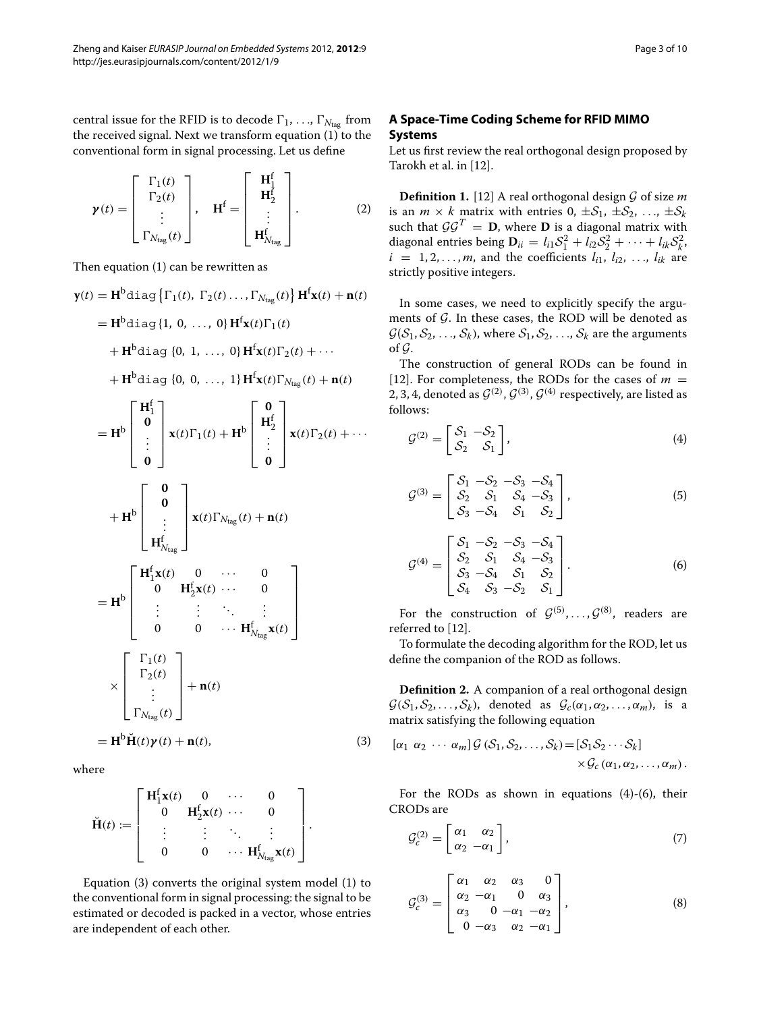central issue for the RFID is to decode  $\Gamma_1, \ldots, \Gamma_{N_{\text{tag}}}$  from the received signal. Next we transform equation [\(1\)](#page-1-2) to the conventional form in signal processing. Let us define

$$
\boldsymbol{\gamma}(t) = \begin{bmatrix} \Gamma_1(t) \\ \Gamma_2(t) \\ \vdots \\ \Gamma_{N_{\text{tag}}}(t) \end{bmatrix}, \quad \mathbf{H}^{\text{f}} = \begin{bmatrix} \mathbf{H}_1^{\text{f}} \\ \mathbf{H}_2^{\text{f}} \\ \vdots \\ \mathbf{H}_{N_{\text{tag}}^{\text{f}}}^{\text{f}} \end{bmatrix}.
$$
 (2)

Then equation [\(1\)](#page-1-2) can be rewritten as

$$
\mathbf{y}(t) = \mathbf{H}^{\mathsf{b}} \text{diag} \{ \Gamma_{1}(t), \Gamma_{2}(t), \ldots, \Gamma_{N_{\text{tag}}}(t) \} \mathbf{H}^{\mathsf{f}} \mathbf{x}(t) + \mathbf{n}(t)
$$
\n
$$
= \mathbf{H}^{\mathsf{b}} \text{diag} \{ 1, 0, \ldots, 0 \} \mathbf{H}^{\mathsf{f}} \mathbf{x}(t) \Gamma_{1}(t)
$$
\n
$$
+ \mathbf{H}^{\mathsf{b}} \text{diag} \{ 0, 1, \ldots, 0 \} \mathbf{H}^{\mathsf{f}} \mathbf{x}(t) \Gamma_{2}(t) + \cdots
$$
\n
$$
+ \mathbf{H}^{\mathsf{b}} \text{diag} \{ 0, 0, \ldots, 1 \} \mathbf{H}^{\mathsf{f}} \mathbf{x}(t) \Gamma_{N_{\text{tag}}}(t) + \mathbf{n}(t)
$$
\n
$$
= \mathbf{H}^{\mathsf{b}} \begin{bmatrix} \mathbf{H}_{1}^{\mathsf{f}} \\ \mathbf{0} \\ \vdots \\ \mathbf{0} \end{bmatrix} \mathbf{x}(t) \Gamma_{1}(t) + \mathbf{H}^{\mathsf{b}} \begin{bmatrix} \mathbf{0} \\ \mathbf{H}_{2}^{\mathsf{f}} \\ \vdots \\ \mathbf{0} \end{bmatrix} \mathbf{x}(t) \Gamma_{2}(t) + \cdots
$$
\n
$$
+ \mathbf{H}^{\mathsf{b}} \begin{bmatrix} \mathbf{0} \\ \mathbf{0} \\ \vdots \\ \mathbf{H}_{N_{\text{tag}}}^{\mathsf{f}} \end{bmatrix} \mathbf{x}(t) \Gamma_{N_{\text{tag}}}(t) + \mathbf{n}(t)
$$
\n
$$
= \mathbf{H}^{\mathsf{b}} \begin{bmatrix} \mathbf{H}_{1}^{\mathsf{f}} \mathbf{x}(t) & 0 & \cdots & 0 \\ \mathbf{0} & \mathbf{H}_{2}^{\mathsf{f}} \mathbf{x}(t) & \cdots & 0 \\ \vdots & \vdots & \ddots & \vdots \\ \mathbf{0} & 0 & \cdots & \mathbf{H}_{N_{\text{tag}}}^{\mathsf{f}} \mathbf{x}(t) \end{bmatrix}
$$
\n
$$
= \mathbf
$$

where

$$
\check{\mathbf{H}}(t) := \left[ \begin{array}{cccc} \mathbf{H}_1^f \mathbf{x}(t) & 0 & \cdots & 0 \\ 0 & \mathbf{H}_2^f \mathbf{x}(t) & \cdots & 0 \\ \vdots & \vdots & \ddots & \vdots \\ 0 & 0 & \cdots & \mathbf{H}_{N_{\text{tag}}}^f \mathbf{x}(t) \end{array} \right].
$$

Equation [\(3\)](#page-2-1) converts the original system model [\(1\)](#page-1-2) to the conventional form in signal processing: the signal to be estimated or decoded is packed in a vector, whose entries are independent of each other.

# <span id="page-2-0"></span>**A Space-Time Coding Scheme for RFID MIMO Systems**

Let us first review the real orthogonal design proposed by Tarokh et al. in [\[12\]](#page-9-11).

**Definition 1.** [\[12\]](#page-9-11) A real orthogonal design  $G$  of size  $m$ is an  $m \times k$  matrix with entries  $0, \pm S_1, \pm S_2, \ldots, \pm S_k$ such that  $\mathcal{G}\mathcal{G}^T = \mathbf{D}$ , where  $\mathbf{D}$  is a diagonal matrix with diagonal entries being  $\mathbf{D}_{ii} = l_{i1} \mathcal{S}_1^2 + l_{i2} \mathcal{S}_2^2 + \cdots + l_{ik} \mathcal{S}_k^2$  $i = 1, 2, ..., m$ , and the coefficients  $l_{i1}, l_{i2}, ..., l_{ik}$  are strictly positive integers.

In some cases, we need to explicitly specify the arguments of *G*. In these cases, the ROD will be denoted as  $G(S_1, S_2, \ldots, S_k)$ , where  $S_1, S_2, \ldots, S_k$  are the arguments of *G*.

The construction of general RODs can be found in [\[12\]](#page-9-11). For completeness, the RODs for the cases of  $m =$ 2, 3, 4, denoted as  $G^{(2)}$ ,  $G^{(3)}$ ,  $G^{(4)}$  respectively, are listed as follows:

<span id="page-2-2"></span>
$$
\mathcal{G}^{(2)} = \begin{bmatrix} \mathcal{S}_1 & -\mathcal{S}_2 \\ \mathcal{S}_2 & \mathcal{S}_1 \end{bmatrix},\tag{4}
$$

$$
\mathcal{G}^{(3)} = \begin{bmatrix} S_1 & -S_2 & -S_3 & -S_4 \\ S_2 & S_1 & S_4 & -S_3 \\ S_3 & -S_4 & S_1 & S_2 \end{bmatrix},
$$
\n(5)

<span id="page-2-3"></span>
$$
\mathcal{G}^{(4)} = \begin{bmatrix} S_1 & -S_2 & -S_3 & -S_4 \\ S_2 & S_1 & S_4 & -S_3 \\ S_3 & -S_4 & S_1 & S_2 \\ S_4 & S_3 & -S_2 & S_1 \end{bmatrix} . \tag{6}
$$

For the construction of  $G^{(5)}, \ldots, G^{(8)}$ , readers are referred to [\[12\]](#page-9-11).

To formulate the decoding algorithm for the ROD, let us define the companion of the ROD as follows.

**Definition 2.** A companion of a real orthogonal design  $G(S_1, S_2, \ldots, S_k)$ , denoted as  $G_c(\alpha_1, \alpha_2, \ldots, \alpha_m)$ , is a matrix satisfying the following equation

<span id="page-2-1"></span>
$$
[\alpha_1 \ \alpha_2 \ \cdots \ \alpha_m] \mathcal{G} \ (\mathcal{S}_1, \mathcal{S}_2, \ldots, \mathcal{S}_k) = [\mathcal{S}_1 \mathcal{S}_2 \cdots \mathcal{S}_k] \times \mathcal{G}_c \ (\alpha_1, \alpha_2, \ldots, \alpha_m).
$$

For the RODs as shown in equations  $(4)-(6)$  $(4)-(6)$  $(4)-(6)$ , their CRODs are

<span id="page-2-4"></span>
$$
\mathcal{G}_c^{(2)} = \begin{bmatrix} \alpha_1 & \alpha_2 \\ \alpha_2 & -\alpha_1 \end{bmatrix},\tag{7}
$$

$$
\mathcal{G}_c^{(3)} = \begin{bmatrix} \alpha_1 & \alpha_2 & \alpha_3 & 0 \\ \alpha_2 & -\alpha_1 & 0 & \alpha_3 \\ \alpha_3 & 0 & -\alpha_1 & -\alpha_2 \\ 0 & -\alpha_3 & \alpha_2 & -\alpha_1 \end{bmatrix},
$$
 (8)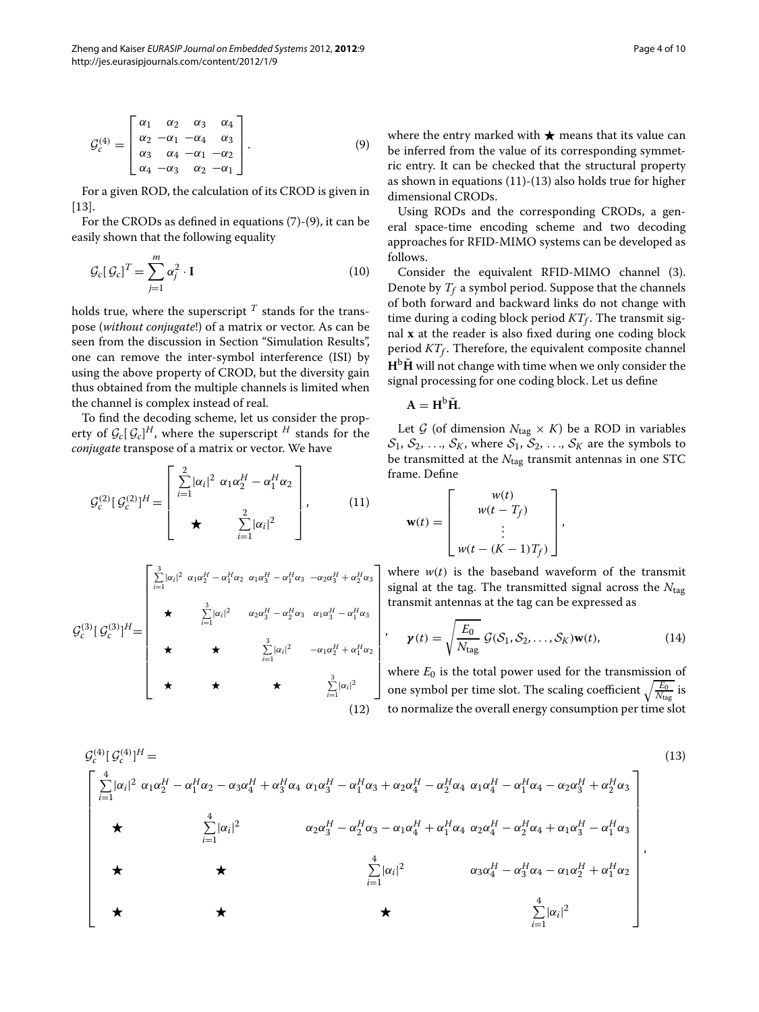<span id="page-3-0"></span>
$$
\mathcal{G}_c^{(4)} = \begin{bmatrix} \alpha_1 & \alpha_2 & \alpha_3 & \alpha_4 \\ \alpha_2 & -\alpha_1 & -\alpha_4 & \alpha_3 \\ \alpha_3 & \alpha_4 & -\alpha_1 & -\alpha_2 \\ \alpha_4 & -\alpha_3 & \alpha_2 & -\alpha_1 \end{bmatrix} . \tag{9}
$$

For a given ROD, the calculation of its CROD is given in [\[13\]](#page-9-12).

For the CRODs as defined in equations [\(7\)](#page-2-4)-[\(9\)](#page-3-0), it can be easily shown that the following equality

$$
\mathcal{G}_c[\,\mathcal{G}_c]^T = \sum_{j=1}^m \alpha_j^2 \cdot \mathbf{I}
$$
\n(10)

holds true, where the superscript  $<sup>T</sup>$  stands for the trans-</sup> pose (*without conjugate*!) of a matrix or vector. As can be seen from the discussion in Section ["Simulation Results"](#page-4-1), one can remove the inter-symbol interference (ISI) by using the above property of CROD, but the diversity gain thus obtained from the multiple channels is limited when the channel is complex instead of real.

To find the decoding scheme, let us consider the property of  $\mathcal{G}_c[\mathcal{G}_c]^H$ , where the superscript  $^H$  stands for the *conjugate* transpose of a matrix or vector. We have

$$
\mathcal{G}_c^{(2)}\left[\mathcal{G}_c^{(2)}\right]^H = \begin{bmatrix} \sum_{i=1}^2 |\alpha_i|^2 \ \alpha_1 \alpha_2^H - \alpha_1^H \alpha_2 \\ \star & \sum_{i=1}^2 |\alpha_i|^2 \end{bmatrix},\tag{11}
$$

$$
G_c^{(3)}[G_c^{(3)}]^{H} = \begin{bmatrix} \sum_{i=1}^{3} |\alpha_i|^2 & \alpha_1 \alpha_2^H - \alpha_1^H \alpha_2 & \alpha_1 \alpha_3^H - \alpha_1^H \alpha_3 & -\alpha_2 \alpha_3^H + \alpha_2^H \alpha_3 \\ & \star & \sum_{i=1}^{3} |\alpha_i|^2 & \alpha_2 \alpha_3^H - \alpha_2^H \alpha_3 & \alpha_1 \alpha_3^H - \alpha_1^H \alpha_3 \\ & \star & \star & \sum_{i=1}^{3} |\alpha_i|^2 & -\alpha_1 \alpha_2^H + \alpha_1^H \alpha_2 \\ & \star & \star & \sum_{i=1}^{3} |\alpha_i|^2 \end{bmatrix}
$$
\n
$$
(12)
$$

where the entry marked with  $\bigstar$  means that its value can be inferred from the value of its corresponding symmetric entry. It can be checked that the structural property as shown in equations [\(11\)](#page-3-1)-[\(13\)](#page-3-2) also holds true for higher dimensional CRODs.

Using RODs and the corresponding CRODs, a general space-time encoding scheme and two decoding approaches for RFID-MIMO systems can be developed as follows.

Consider the equivalent RFID-MIMO channel [\(3\)](#page-2-1). Denote by  $T_f$  a symbol period. Suppose that the channels of both forward and backward links do not change with time during a coding block period  $KT_f$ . The transmit signal **x** at the reader is also fixed during one coding block period  $KT_f$ . Therefore, the equivalent composite channel  $H<sup>b</sup>H$  will not change with time when we only consider the signal processing for one coding block. Let us define

$$
A = H^b \breve{H}.
$$

<span id="page-3-1"></span>Let  $G$  (of dimension  $N_{\text{tag}} \times K$ ) be a ROD in variables  $S_1, S_2, \ldots, S_K$ , where  $S_1, S_2, \ldots, S_K$  are the symbols to be transmitted at the *N*tag transmit antennas in one STC frame. Define

$$
\mathbf{w}(t) = \begin{bmatrix} w(t) \\ w(t - T_f) \\ \vdots \\ w(t - (K - 1)T_f) \end{bmatrix},
$$

where  $w(t)$  is the baseband waveform of the transmit signal at the tag. The transmitted signal across the *N*tag transmit antennas at the tag can be expressed as

<span id="page-3-2"></span>
$$
\boldsymbol{\gamma}(t) = \sqrt{\frac{E_0}{N_{\text{tag}}}} \mathcal{G}(\mathcal{S}_1, \mathcal{S}_2, \dots, \mathcal{S}_K) \mathbf{w}(t), \qquad (14)
$$

where  $E_0$  is the total power used for the transmission of one symbol per time slot. The scaling coefficient  $\sqrt{\frac{E_0}{N_{\rm tag}}}$  is to normalize the overall energy consumption per time slot

$$
G_c^{(4)}[G_c^{(4)}]^{H} =
$$
\n
$$
\begin{bmatrix}\n\sum_{i=1}^{4} |\alpha_i|^2 \alpha_1 \alpha_2^H - \alpha_1^H \alpha_2 - \alpha_3 \alpha_4^H + \alpha_3^H \alpha_4 \alpha_1 \alpha_3^H - \alpha_1^H \alpha_3 + \alpha_2 \alpha_4^H - \alpha_2^H \alpha_4 \alpha_1 \alpha_4^H - \alpha_1^H \alpha_4 - \alpha_2 \alpha_3^H + \alpha_2^H \alpha_3 \\
\hline\n\star & \sum_{i=1}^{4} |\alpha_i|^2 & \alpha_2 \alpha_3^H - \alpha_2^H \alpha_3 - \alpha_1 \alpha_4^H + \alpha_1^H \alpha_4 \alpha_2 \alpha_4^H - \alpha_2^H \alpha_4 + \alpha_1 \alpha_3^H - \alpha_1^H \alpha_3\n\end{bmatrix}
$$
\n
$$
\star
$$
\n
$$
\star
$$
\n
$$
\frac{1}{\sum_{i=1}^{4} |\alpha_i|^2}
$$
\n
$$
\star
$$
\n
$$
\star
$$
\n
$$
\frac{1}{\sum_{i=1}^{4} |\alpha_i|^2}
$$
\n
$$
\star
$$
\n
$$
\star
$$
\n
$$
\frac{1}{\sum_{i=1}^{4} |\alpha_i|^2}
$$
\n
$$
\star
$$
\n
$$
\star
$$
\n
$$
\frac{1}{\sum_{i=1}^{4} |\alpha_i|^2}
$$
\n
$$
\star
$$
\n
$$
\star
$$
\n
$$
\star
$$
\n
$$
\star
$$
\n
$$
\star
$$
\n
$$
\star
$$
\n
$$
\star
$$
\n
$$
\star
$$
\n
$$
\star
$$
\n
$$
\star
$$
\n
$$
\star
$$
\n
$$
\star
$$
\n
$$
\star
$$
\n
$$
\star
$$
\n
$$
\star
$$
\n
$$
\star
$$
\n
$$
\star
$$
\n
$$
\star
$$
\n
$$
\star
$$
\n
$$
\star
$$
\n
$$
\star
$$
\n
$$
\star
$$
\n
$$
\star
$$
\n<math display="</math>

,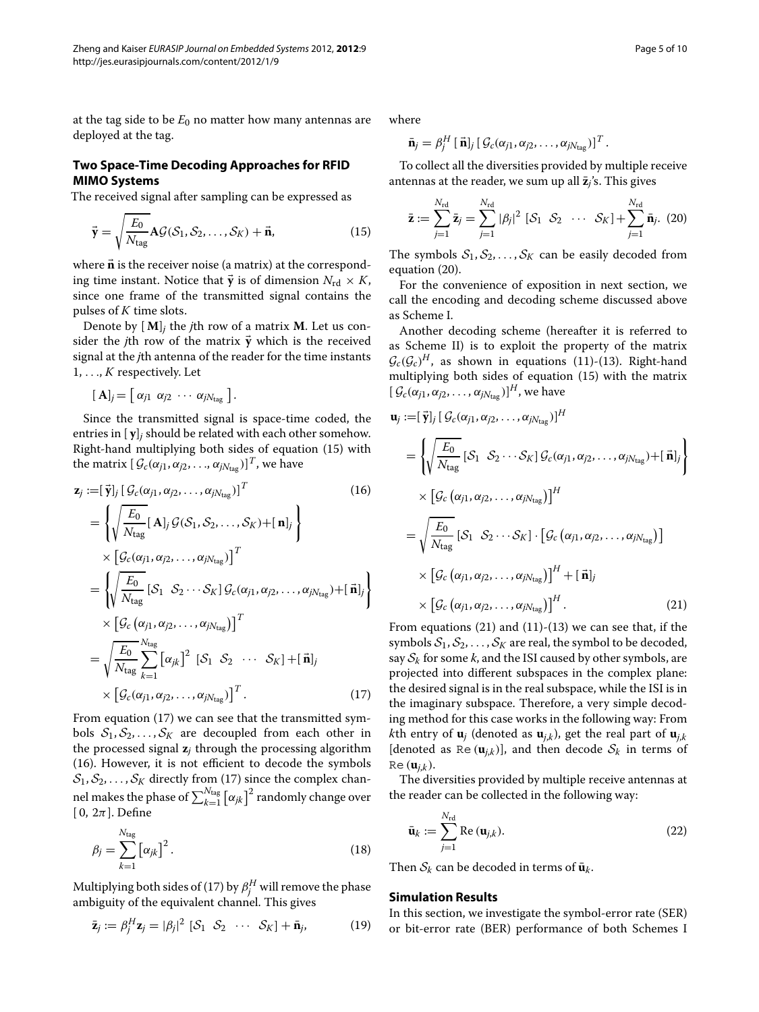at the tag side to be  $E_0$  no matter how many antennas are deployed at the tag.

#### **Two Space-Time Decoding Approaches for RFID MIMO Systems**

<span id="page-4-0"></span>The received signal after sampling can be expressed as

$$
\vec{\mathbf{y}} = \sqrt{\frac{E_0}{N_{\text{tag}}}} \mathbf{A} \mathcal{G}(\mathcal{S}_1, \mathcal{S}_2, \dots, \mathcal{S}_K) + \vec{\mathbf{n}},\tag{15}
$$

where **<sup>n</sup>** is the receiver noise (a matrix) at the corresponding time instant. Notice that  $\vec{y}$  is of dimension  $N_{\text{rd}} \times K$ , since one frame of the transmitted signal contains the pulses of *K* time slots.

Denote by  $[M]$ *j* the *j*th row of a matrix **M**. Let us consider the *j*th row of the matrix  $\vec{y}$  which is the received signal at the *j*th antenna of the reader for the time instants 1, ..., *K* respectively. Let

$$
[\mathbf{A}]_j = [\alpha_{j1} \ \alpha_{j2} \ \cdots \ \alpha_{jN_{tag}}].
$$

Since the transmitted signal is space-time coded, the entries in [ **y**]*<sup>j</sup>* should be related with each other somehow. Right-hand multiplying both sides of equation [\(15\)](#page-4-2) with the matrix  $[\mathcal{G}_c(\alpha_{j1}, \alpha_{j2}, \ldots, \alpha_{jN_{\text{tag}}})]^T$ , we have

$$
\mathbf{z}_{j} := [\vec{\mathbf{y}}]_{j} [G_{c}(\alpha_{j1}, \alpha_{j2}, \dots, \alpha_{jN_{\text{tag}}})]^{T}
$$
(16)  
\n
$$
= \left\{ \sqrt{\frac{E_{0}}{N_{\text{tag}}}} [\mathbf{A}]_{j} \mathcal{G}(S_{1}, S_{2}, \dots, S_{K}) + [\mathbf{n}]_{j} \right\}
$$
  
\n
$$
\times \left[ \mathcal{G}_{c}(\alpha_{j1}, \alpha_{j2}, \dots, \alpha_{jN_{\text{tag}}}) \right]^{T}
$$
  
\n
$$
= \left\{ \sqrt{\frac{E_{0}}{N_{\text{tag}}}} [\mathcal{S}_{1} \ \mathcal{S}_{2} \cdots \mathcal{S}_{K}] \mathcal{G}_{c}(\alpha_{j1}, \alpha_{j2}, \dots, \alpha_{jN_{\text{tag}}}) + [\mathbf{n}]_{j} \right\}
$$
  
\n
$$
\times \left[ \mathcal{G}_{c}(\alpha_{j1}, \alpha_{j2}, \dots, \alpha_{jN_{\text{tag}}}) \right]^{T}
$$
  
\n
$$
= \sqrt{\frac{E_{0}}{N_{\text{tag}}}} \sum_{k=1}^{N_{\text{tag}} [\alpha_{jk}]^{2} [\mathcal{S}_{1} \ \mathcal{S}_{2} \cdots \mathcal{S}_{K}] + [\mathbf{n}]_{j}
$$
  
\n
$$
\times \left[ \mathcal{G}_{c}(\alpha_{j1}, \alpha_{j2}, \dots, \alpha_{jN_{\text{tag}}}) \right]^{T}.
$$
(17)

From equation [\(17\)](#page-4-3) we can see that the transmitted symbols  $S_1, S_2, \ldots, S_K$  are decoupled from each other in the processed signal **z***<sup>j</sup>* through the processing algorithm [\(16\)](#page-4-4). However, it is not efficient to decode the symbols  $S_1, S_2, \ldots, S_K$  directly from [\(17\)](#page-4-3) since the complex channel makes the phase of  $\sum_{k=1}^{N_{\text{tag}}}\left[\alpha_{jk}\right]^2$  randomly change over [ 0,  $2\pi$ ]. Define

<span id="page-4-8"></span>
$$
\beta_j = \sum_{k=1}^{N_{\text{tag}}} \left[ \alpha_{jk} \right]^2.
$$
\n(18)

Multiplying both sides of [\(17\)](#page-4-3) by  $\beta_j^H$  will remove the phase ambiguity of the equivalent channel. This gives

$$
\bar{\mathbf{z}}_j := \beta_j^H \mathbf{z}_j = |\beta_j|^2 [\mathcal{S}_1 \ \mathcal{S}_2 \ \cdots \ \mathcal{S}_K] + \bar{\mathbf{n}}_j,\tag{19}
$$

where

<span id="page-4-5"></span>
$$
\bar{\mathbf{n}}_j = \beta_j^H [\ \vec{\mathbf{n}}]_j [\ \mathcal{G}_c(\alpha_{j1}, \alpha_{j2}, \ldots, \alpha_{jN_{\text{tag}}})]^T.
$$

<span id="page-4-2"></span>To collect all the diversities provided by multiple receive antennas at the reader, we sum up all  $\bar{z}_i$ 's. This gives

$$
\bar{\mathbf{z}} := \sum_{j=1}^{N_{\rm rd}} \bar{\mathbf{z}}_j = \sum_{j=1}^{N_{\rm rd}} |\beta_j|^2 \, \left[ \mathcal{S}_1 \ \mathcal{S}_2 \ \cdots \ \mathcal{S}_K \right] + \sum_{j=1}^{N_{\rm rd}} \bar{\mathbf{n}}_j. \ \ (20)
$$

The symbols  $S_1, S_2, \ldots, S_K$  can be easily decoded from equation [\(20\)](#page-4-5).

For the convenience of exposition in next section, we call the encoding and decoding scheme discussed above as Scheme I.

Another decoding scheme (hereafter it is referred to as Scheme II) is to exploit the property of the matrix  $\mathcal{G}_c(\mathcal{G}_c)^H$ , as shown in equations [\(11\)](#page-3-1)-[\(13\)](#page-3-2). Right-hand multiplying both sides of equation [\(15\)](#page-4-2) with the matrix  $\left[\right. \mathcal{G}_{c}(\alpha_{j1}, \alpha_{j2}, \ldots, \alpha_{jN_{\text{tag}}})\right]^H$ , we have

<span id="page-4-4"></span>
$$
\mathbf{u}_{j} := [\vec{\mathbf{y}}]_{j} [\mathcal{G}_{c}(\alpha_{j1}, \alpha_{j2}, \dots, \alpha_{jN_{\text{tag}}})]^{H}
$$
\n
$$
= \left\{ \sqrt{\frac{E_{0}}{N_{\text{tag}}}} [\mathcal{S}_{1} \ \mathcal{S}_{2} \cdots \mathcal{S}_{K}] \mathcal{G}_{c}(\alpha_{j1}, \alpha_{j2}, \dots, \alpha_{jN_{\text{tag}}}) + [\vec{\mathbf{n}}]_{j} \right\}
$$
\n
$$
\times [\mathcal{G}_{c}(\alpha_{j1}, \alpha_{j2}, \dots, \alpha_{jN_{\text{tag}}})]^{H}
$$
\n
$$
= \sqrt{\frac{E_{0}}{N_{\text{tag}}}} [\mathcal{S}_{1} \ \mathcal{S}_{2} \cdots \mathcal{S}_{K}] \cdot [\mathcal{G}_{c}(\alpha_{j1}, \alpha_{j2}, \dots, \alpha_{jN_{\text{tag}}})]^{H}
$$
\n
$$
\times [\mathcal{G}_{c}(\alpha_{j1}, \alpha_{j2}, \dots, \alpha_{jN_{\text{tag}}})]^{H} + [\vec{\mathbf{n}}]_{j}
$$
\n
$$
\times [\mathcal{G}_{c}(\alpha_{j1}, \alpha_{j2}, \dots, \alpha_{jN_{\text{tag}}})]^{H}.
$$
\n(21)

<span id="page-4-6"></span><span id="page-4-3"></span>From equations  $(21)$  and  $(11)-(13)$  $(11)-(13)$  $(11)-(13)$  we can see that, if the symbols  $S_1, S_2, \ldots, S_K$  are real, the symbol to be decoded, say  $S_k$  for some  $k$ , and the ISI caused by other symbols, are projected into different subspaces in the complex plane: the desired signal is in the real subspace, while the ISI is in the imaginary subspace. Therefore, a very simple decoding method for this case works in the following way: From *k*th entry of  $\mathbf{u}_i$  (denoted as  $\mathbf{u}_{i,k}$ ), get the real part of  $\mathbf{u}_{i,k}$ [denoted as Re  $(\mathbf{u}_{j,k})$ ], and then decode  $S_k$  in terms of  $Re(\mathbf{u}_{i,k})$ .

The diversities provided by multiple receive antennas at the reader can be collected in the following way:

<span id="page-4-7"></span>
$$
\bar{\mathbf{u}}_k := \sum_{j=1}^{N_{\rm rd}} \text{Re} \left( \mathbf{u}_{j,k} \right). \tag{22}
$$

Then  $S_k$  can be decoded in terms of  $\bar{u}_k$ .

#### <span id="page-4-1"></span>**Simulation Results**

In this section, we investigate the symbol-error rate (SER) or bit-error rate (BER) performance of both Schemes I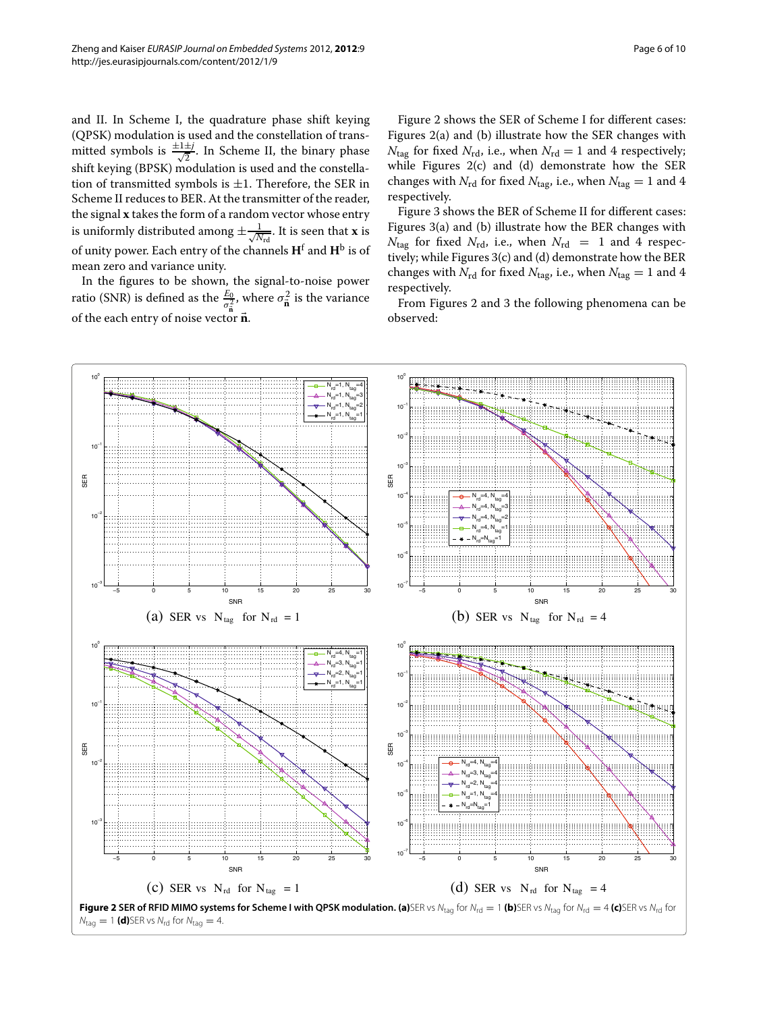and II. In Scheme I, the quadrature phase shift keying (QPSK) modulation is used and the constellation of transmitted symbols is  $\frac{\pm 1 \pm j}{\sqrt{2}}$ . In Scheme II, the binary phase shift keying (BPSK) modulation is used and the constellation of transmitted symbols is  $\pm 1$ . Therefore, the SER in Scheme II reduces to BER. At the transmitter of the reader, the signal **x** takes the form of a random vector whose entry is uniformly distributed among  $\pm \frac{1}{\sqrt{\Lambda}}$  $\frac{1}{N_{\text{rd}}}$ . It is seen that **x** is of unity power. Each entry of the channels **H**<sup>f</sup> and **H**<sup>b</sup> is of mean zero and variance unity.

In the figures to be shown, the signal-to-noise power ratio (SNR) is defined as the  $\frac{E_0}{\sigma_{\overline{\mathbf{n}}}^2}$ , where  $\sigma_{\overline{\mathbf{n}}}^2$  is the variance of the each entry of noise vector  $\vec{n}$ .

Figure [2](#page-5-0) shows the SER of Scheme I for different cases: Figures [2\(](#page-5-0)a) and (b) illustrate how the SER changes with  $N_{\text{tag}}$  for fixed  $N_{\text{rd}}$ , i.e., when  $N_{\text{rd}} = 1$  and 4 respectively; while Figures [2\(](#page-5-0)c) and (d) demonstrate how the SER changes with  $N_{\rm rd}$  for fixed  $N_{\rm tag}$ , i.e., when  $N_{\rm tag} = 1$  and 4 respectively.

Figure [3](#page-6-0) shows the BER of Scheme II for different cases: Figures [3\(](#page-6-0)a) and (b) illustrate how the BER changes with  $N_{\text{tag}}$  for fixed  $N_{\text{rd}}$ , i.e., when  $N_{\text{rd}} = 1$  and 4 respectively; while Figures [3\(](#page-6-0)c) and (d) demonstrate how the BER changes with  $N_{\text{rd}}$  for fixed  $N_{\text{tag}}$ , i.e., when  $N_{\text{tag}} = 1$  and 4 respectively.

From Figures [2](#page-5-0) and [3](#page-6-0) the following phenomena can be observed:

<span id="page-5-0"></span>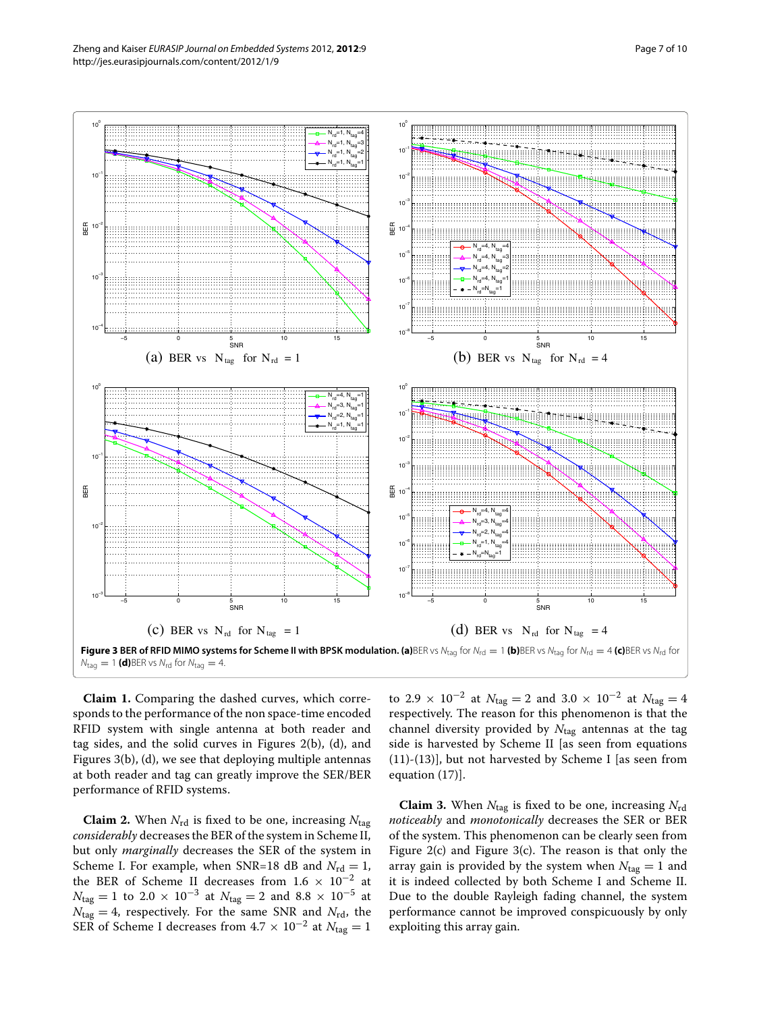Zheng and Kaiser *EURASIP Journal on Embedded Systems* 2012, **2012**:9 Page 7 of 10 http://jes.eurasipjournals.com/content/2012/1/9



<span id="page-6-1"></span><span id="page-6-0"></span>**Claim 1.** Comparing the dashed curves, which corresponds to the performance of the non space-time encoded RFID system with single antenna at both reader and tag sides, and the solid curves in Figures [2\(](#page-5-0)b), (d), and Figures [3\(](#page-6-0)b), (d), we see that deploying multiple antennas at both reader and tag can greatly improve the SER/BER performance of RFID systems.

**Claim 2.** When  $N_{\text{rd}}$  is fixed to be one, increasing  $N_{\text{tag}}$ *considerably* decreases the BER of the system in Scheme II, but only *marginally* decreases the SER of the system in Scheme I. For example, when SNR=18 dB and  $N_{\text{rd}} = 1$ , the BER of Scheme II decreases from  $1.6 \times 10^{-2}$  at *N*<sub>tag</sub> = 1 to 2.0 × 10<sup>-3</sup> at *N*<sub>tag</sub> = 2 and 8.8 × 10<sup>-5</sup> at  $N_{\text{tag}} = 4$ , respectively. For the same SNR and  $N_{\text{rd}}$ , the SER of Scheme I decreases from  $4.7 \times 10^{-2}$  at  $N_{\text{tag}} = 1$  to 2.9 × 10<sup>-2</sup> at  $N_{\text{tag}} = 2$  and 3.0 × 10<sup>-2</sup> at  $N_{\text{tag}} = 4$ respectively. The reason for this phenomenon is that the channel diversity provided by *N*tag antennas at the tag side is harvested by Scheme II [as seen from equations [\(11\)](#page-3-1)-[\(13\)](#page-3-2)], but not harvested by Scheme I [as seen from equation [\(17\)](#page-4-3)].

**Claim 3.** When  $N_{\text{tag}}$  is fixed to be one, increasing  $N_{\text{rd}}$ *noticeably* and *monotonically* decreases the SER or BER of the system. This phenomenon can be clearly seen from Figure [2\(](#page-5-0)c) and Figure [3\(](#page-6-0)c). The reason is that only the array gain is provided by the system when  $N_{\text{tag}} = 1$  and it is indeed collected by both Scheme I and Scheme II. Due to the double Rayleigh fading channel, the system performance cannot be improved conspicuously by only exploiting this array gain.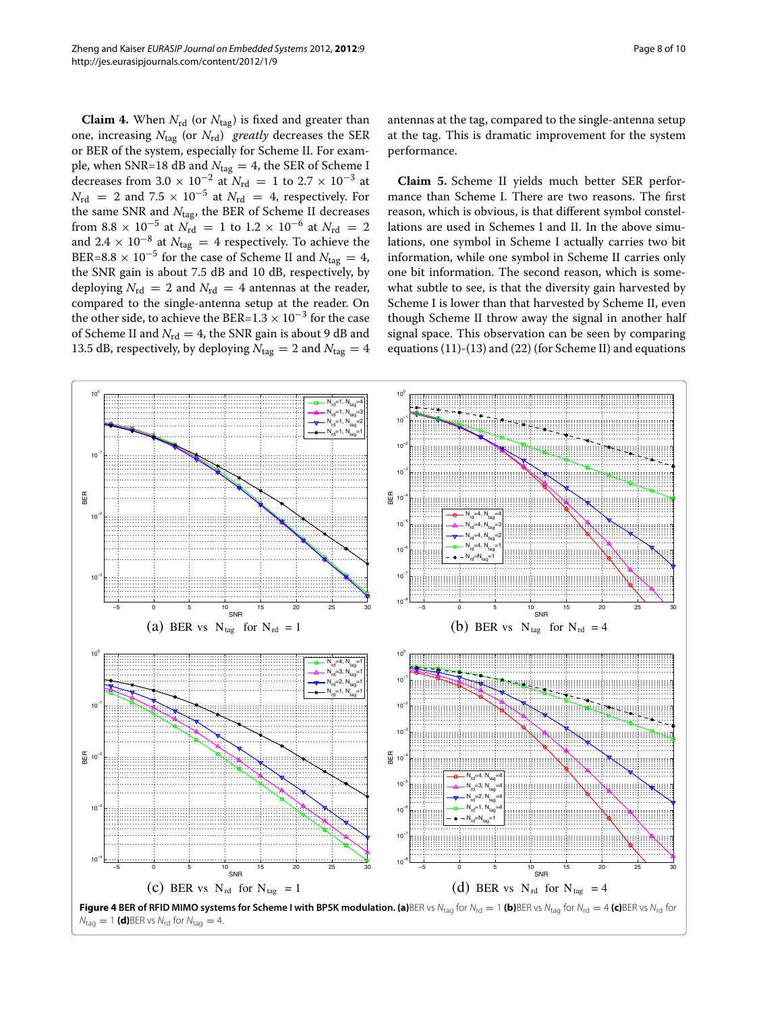**Claim 4.** When  $N_{\text{rd}}$  (or  $N_{\text{tag}}$ ) is fixed and greater than one, increasing *N*tag (or *N*rd) *greatly* decreases the SER or BER of the system, especially for Scheme II. For example, when SNR=18 dB and  $N_{\text{tag}} = 4$ , the SER of Scheme I decreases from  $3.0 \times 10^{-2}$  at  $N_{\text{rd}} = 1$  to  $2.7 \times 10^{-3}$  at  $N_{\rm rd}$  = 2 and 7.5 × 10<sup>-5</sup> at  $N_{\rm rd}$  = 4, respectively. For the same SNR and *N*tag, the BER of Scheme II decreases from 8.8 × 10<sup>-5</sup> at  $N_{\text{rd}} = 1$  to 1.2 × 10<sup>-6</sup> at  $N_{\text{rd}} = 2$ and 2.4  $\times$  10<sup>-8</sup> at  $N_{\text{tag}} = 4$  respectively. To achieve the BER=8.8 × 10<sup>-5</sup> for the case of Scheme II and  $N_{\text{tag}} = 4$ , the SNR gain is about 7.5 dB and 10 dB, respectively, by deploying  $N_{\text{rd}} = 2$  and  $N_{\text{rd}} = 4$  antennas at the reader, compared to the single-antenna setup at the reader. On the other side, to achieve the BER=1.3  $\times$  10<sup>-3</sup> for the case of Scheme II and  $N_{\text{rd}} = 4$ , the SNR gain is about 9 dB and 13.5 dB, respectively, by deploying  $N_{\text{tag}} = 2$  and  $N_{\text{tag}} = 4$ 

antennas at the tag, compared to the single-antenna setup at the tag. This is dramatic improvement for the system performance.

**Claim 5.** Scheme II yields much better SER performance than Scheme I. There are two reasons. The first reason, which is obvious, is that different symbol constellations are used in Schemes I and II. In the above simulations, one symbol in Scheme I actually carries two bit information, while one symbol in Scheme II carries only one bit information. The second reason, which is somewhat subtle to see, is that the diversity gain harvested by Scheme I is lower than that harvested by Scheme II, even though Scheme II throw away the signal in another half signal space. This observation can be seen by comparing equations [\(11\)](#page-3-1)-[\(13\)](#page-3-2) and [\(22\)](#page-4-7) (for Scheme II) and equations

<span id="page-7-0"></span>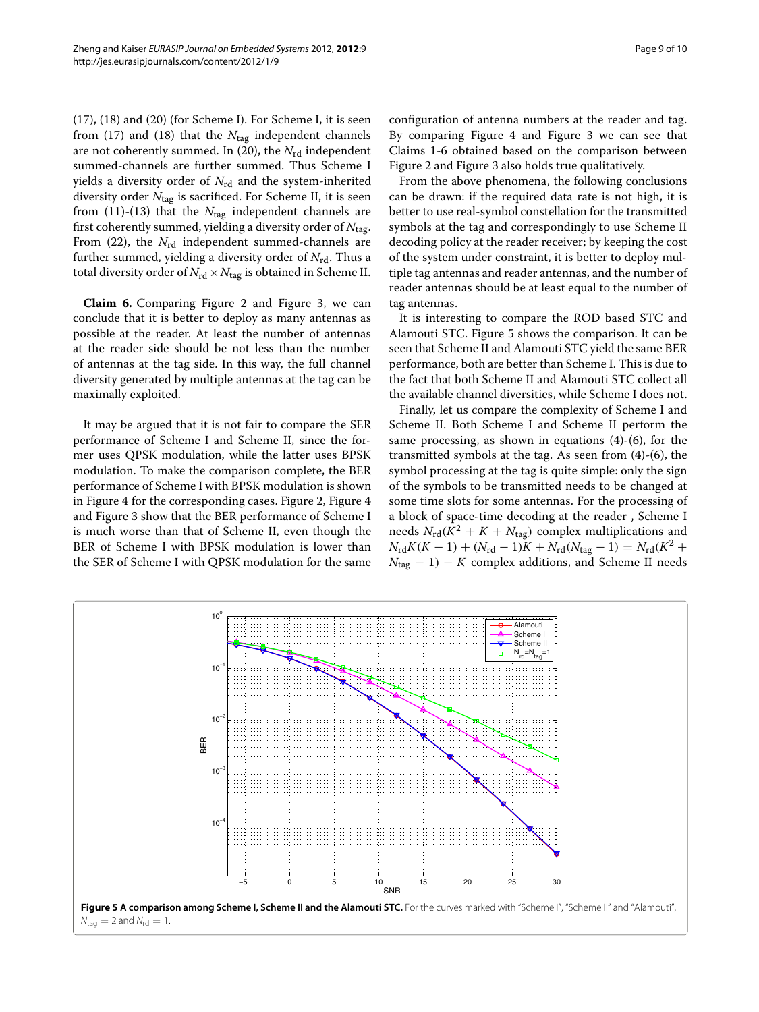[\(17\)](#page-4-3), [\(18\)](#page-4-8) and [\(20\)](#page-4-5) (for Scheme I). For Scheme I, it is seen from [\(17\)](#page-4-3) and [\(18\)](#page-4-8) that the  $N_{\text{tag}}$  independent channels are not coherently summed. In  $(20)$ , the  $N_{rd}$  independent summed-channels are further summed. Thus Scheme I yields a diversity order of N<sub>rd</sub> and the system-inherited diversity order *N*tag is sacrificed. For Scheme II, it is seen from  $(11)-(13)$  $(11)-(13)$  $(11)-(13)$  that the  $N_{\text{tag}}$  independent channels are first coherently summed, yielding a diversity order of *N*tag. From [\(22\)](#page-4-7), the *N*<sub>rd</sub> independent summed-channels are further summed, yielding a diversity order of *N*rd. Thus a total diversity order of  $N_{\text{rd}} \times N_{\text{tag}}$  is obtained in Scheme II.

<span id="page-8-0"></span>**Claim 6.** Comparing Figure [2](#page-5-0) and Figure [3,](#page-6-0) we can conclude that it is better to deploy as many antennas as possible at the reader. At least the number of antennas at the reader side should be not less than the number of antennas at the tag side. In this way, the full channel diversity generated by multiple antennas at the tag can be maximally exploited.

It may be argued that it is not fair to compare the SER performance of Scheme I and Scheme II, since the former uses QPSK modulation, while the latter uses BPSK modulation. To make the comparison complete, the BER performance of Scheme I with BPSK modulation is shown in Figure [4](#page-7-0) for the corresponding cases. Figure [2,](#page-5-0) Figure [4](#page-7-0) and Figure [3](#page-6-0) show that the BER performance of Scheme I is much worse than that of Scheme II, even though the BER of Scheme I with BPSK modulation is lower than the SER of Scheme I with QPSK modulation for the same configuration of antenna numbers at the reader and tag. By comparing Figure [4](#page-7-0) and Figure [3](#page-6-0) we can see that Claims [1](#page-6-1)[-6](#page-8-0) obtained based on the comparison between Figure [2](#page-5-0) and Figure [3](#page-6-0) also holds true qualitatively.

From the above phenomena, the following conclusions can be drawn: if the required data rate is not high, it is better to use real-symbol constellation for the transmitted symbols at the tag and correspondingly to use Scheme II decoding policy at the reader receiver; by keeping the cost of the system under constraint, it is better to deploy multiple tag antennas and reader antennas, and the number of reader antennas should be at least equal to the number of tag antennas.

It is interesting to compare the ROD based STC and Alamouti STC. Figure [5](#page-8-1) shows the comparison. It can be seen that Scheme II and Alamouti STC yield the same BER performance, both are better than Scheme I. This is due to the fact that both Scheme II and Alamouti STC collect all the available channel diversities, while Scheme I does not.

Finally, let us compare the complexity of Scheme I and Scheme II. Both Scheme I and Scheme II perform the same processing, as shown in equations [\(4\)](#page-2-2)-[\(6\)](#page-2-3), for the transmitted symbols at the tag. As seen from [\(4\)](#page-2-2)-[\(6\)](#page-2-3), the symbol processing at the tag is quite simple: only the sign of the symbols to be transmitted needs to be changed at some time slots for some antennas. For the processing of a block of space-time decoding at the reader , Scheme I needs  $N_{\rm rd}(K^2 + K + N_{\rm tag})$  complex multiplications and  $N_{\rm rd} K(K-1) + (N_{\rm rd}-1)K + N_{\rm rd}(N_{\rm tag}-1) = N_{\rm rd}(K^2 +$  $N_{\text{tag}} - 1$ ) – *K* complex additions, and Scheme II needs

<span id="page-8-1"></span>